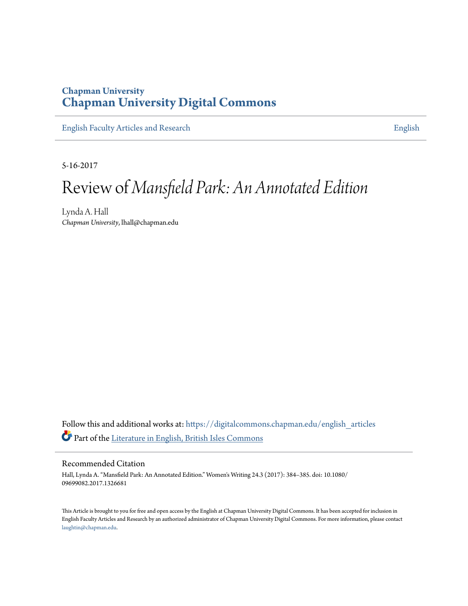## **Chapman University [Chapman University Digital Commons](https://digitalcommons.chapman.edu?utm_source=digitalcommons.chapman.edu%2Fenglish_articles%2F80&utm_medium=PDF&utm_campaign=PDFCoverPages)**

[English Faculty Articles and Research](https://digitalcommons.chapman.edu/english_articles?utm_source=digitalcommons.chapman.edu%2Fenglish_articles%2F80&utm_medium=PDF&utm_campaign=PDFCoverPages) **[English](https://digitalcommons.chapman.edu/english?utm_source=digitalcommons.chapman.edu%2Fenglish_articles%2F80&utm_medium=PDF&utm_campaign=PDFCoverPages)** 

5-16-2017

## Review of *Mansfield Park: An Annotated Edition*

Lynda A. Hall *Chapman University*, lhall@chapman.edu

Follow this and additional works at: [https://digitalcommons.chapman.edu/english\\_articles](https://digitalcommons.chapman.edu/english_articles?utm_source=digitalcommons.chapman.edu%2Fenglish_articles%2F80&utm_medium=PDF&utm_campaign=PDFCoverPages) Part of the [Literature in English, British Isles Commons](http://network.bepress.com/hgg/discipline/456?utm_source=digitalcommons.chapman.edu%2Fenglish_articles%2F80&utm_medium=PDF&utm_campaign=PDFCoverPages)

Recommended Citation

Hall, Lynda A. "Mansfield Park: An Annotated Edition." Women's Writing 24.3 (2017): 384–385. doi: 10.1080/ 09699082.2017.1326681

This Article is brought to you for free and open access by the English at Chapman University Digital Commons. It has been accepted for inclusion in English Faculty Articles and Research by an authorized administrator of Chapman University Digital Commons. For more information, please contact [laughtin@chapman.edu](mailto:laughtin@chapman.edu).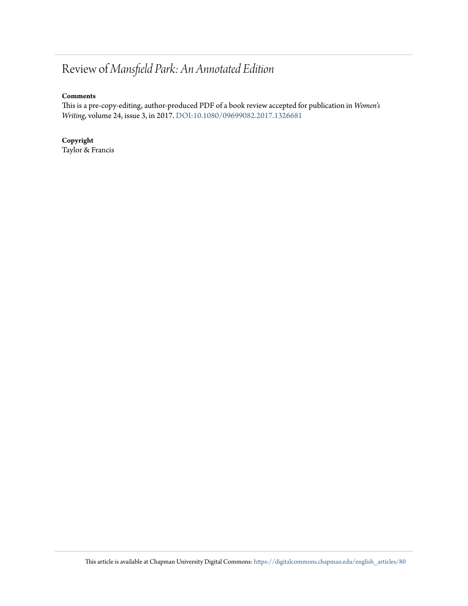## Review of *Mansfield Park: An Annotated Edition*

## **Comments**

This is a pre-copy-editing, author-produced PDF of a book review accepted for publication in *Women's Writing*, volume 24, issue 3, in 2017. [DOI:10.1080/09699082.2017.1326681](http://dx.doi.org/10.1080/09699082.2017.1326681)

**Copyright** Taylor & Francis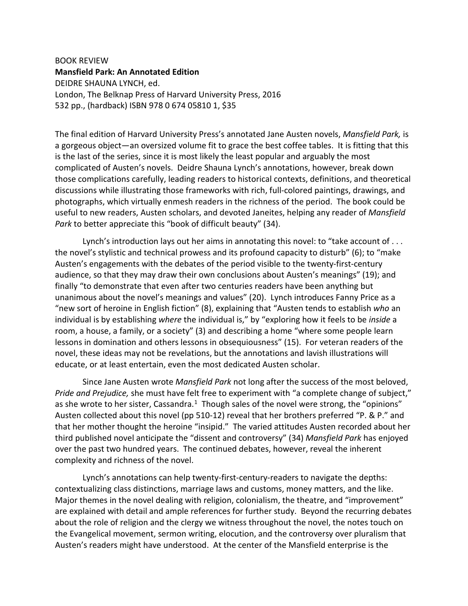BOOK REVIEW **Mansfield Park: An Annotated Edition** DEIDRE SHAUNA LYNCH, ed. London, The Belknap Press of Harvard University Press, 2016 532 pp., (hardback) ISBN 978 0 674 05810 1, \$35

The final edition of Harvard University Press's annotated Jane Austen novels, *Mansfield Park,* is a gorgeous object—an oversized volume fit to grace the best coffee tables. It is fitting that this is the last of the series, since it is most likely the least popular and arguably the most complicated of Austen's novels. Deidre Shauna Lynch's annotations, however, break down those complications carefully, leading readers to historical contexts, definitions, and theoretical discussions while illustrating those frameworks with rich, full-colored paintings, drawings, and photographs, which virtually enmesh readers in the richness of the period. The book could be useful to new readers, Austen scholars, and devoted Janeites, helping any reader of *Mansfield Park* to better appreciate this "book of difficult beauty" (34).

Lynch's introduction lays out her aims in annotating this novel: to "take account of . . . the novel's stylistic and technical prowess and its profound capacity to disturb" (6); to "make Austen's engagements with the debates of the period visible to the twenty-first-century audience, so that they may draw their own conclusions about Austen's meanings" (19); and finally "to demonstrate that even after two centuries readers have been anything but unanimous about the novel's meanings and values" (20). Lynch introduces Fanny Price as a "new sort of heroine in English fiction" (8), explaining that "Austen tends to establish *who* an individual is by establishing *where* the individual is," by "exploring how it feels to be *inside* a room, a house, a family, or a society" (3) and describing a home "where some people learn lessons in domination and others lessons in obsequiousness" (15). For veteran readers of the novel, these ideas may not be revelations, but the annotations and lavish illustrations will educate, or at least entertain, even the most dedicated Austen scholar.

Since Jane Austen wrote *Mansfield Park* not long after the success of the most beloved, *Pride and Prejudice,* she must have felt free to experiment with "a complete change of subject," as she wrote to her sister, Cassandra. $1$  Though sales of the novel were strong, the "opinions" Austen collected about this novel (pp 510-12) reveal that her brothers preferred "P. & P." and that her mother thought the heroine "insipid." The varied attitudes Austen recorded about her third published novel anticipate the "dissent and controversy" (34) *Mansfield Park* has enjoyed over the past two hundred years. The continued debates, however, reveal the inherent complexity and richness of the novel.

Lynch's annotations can help twenty-first-century-readers to navigate the depths: contextualizing class distinctions, marriage laws and customs, money matters, and the like. Major themes in the novel dealing with religion, colonialism, the theatre, and "improvement" are explained with detail and ample references for further study. Beyond the recurring debates about the role of religion and the clergy we witness throughout the novel, the notes touch on the Evangelical movement, sermon writing, elocution, and the controversy over pluralism that Austen's readers might have understood. At the center of the Mansfield enterprise is the